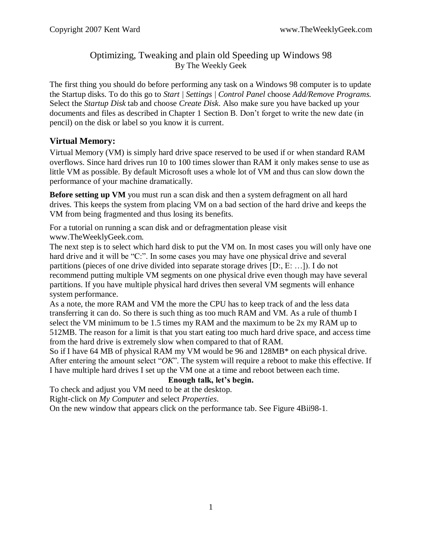## Optimizing, Tweaking and plain old Speeding up Windows 98 By The Weekly Geek

The first thing you should do before performing any task on a Windows 98 computer is to update the Startup disks. To do this go to *Start | Settings | Control Panel* choose *Add/Remove Programs.* Select the *Startup Disk* tab and choose *Create Disk.* Also make sure you have backed up your documents and files as described in Chapter 1 Section B. Don't forget to write the new date (in pencil) on the disk or label so you know it is current.

# **Virtual Memory:**

Virtual Memory (VM) is simply hard drive space reserved to be used if or when standard RAM overflows. Since hard drives run 10 to 100 times slower than RAM it only makes sense to use as little VM as possible. By default Microsoft uses a whole lot of VM and thus can slow down the performance of your machine dramatically.

**Before setting up VM** you must run a scan disk and then a system defragment on all hard drives. This keeps the system from placing VM on a bad section of the hard drive and keeps the VM from being fragmented and thus losing its benefits.

For a tutorial on running a scan disk and or defragmentation please visit www.TheWeeklyGeek.com.

The next step is to select which hard disk to put the VM on. In most cases you will only have one hard drive and it will be "C:". In some cases you may have one physical drive and several partitions (pieces of one drive divided into separate storage drives [D:, E: …]). I do not recommend putting multiple VM segments on one physical drive even though may have several partitions. If you have multiple physical hard drives then several VM segments will enhance system performance.

As a note, the more RAM and VM the more the CPU has to keep track of and the less data transferring it can do. So there is such thing as too much RAM and VM. As a rule of thumb I select the VM minimum to be 1.5 times my RAM and the maximum to be 2x my RAM up to 512MB. The reason for a limit is that you start eating too much hard drive space, and access time from the hard drive is extremely slow when compared to that of RAM.

So if I have 64 MB of physical RAM my VM would be 96 and 128MB\* on each physical drive. After entering the amount select "OK". The system will require a reboot to make this effective. If I have multiple hard drives I set up the VM one at a time and reboot between each time.

### **Enough talk, let's begin.**

To check and adjust you VM need to be at the desktop.

Right-click on *My Computer* and select *Properties*.

On the new window that appears click on the performance tab. See Figure 4Bii98-1.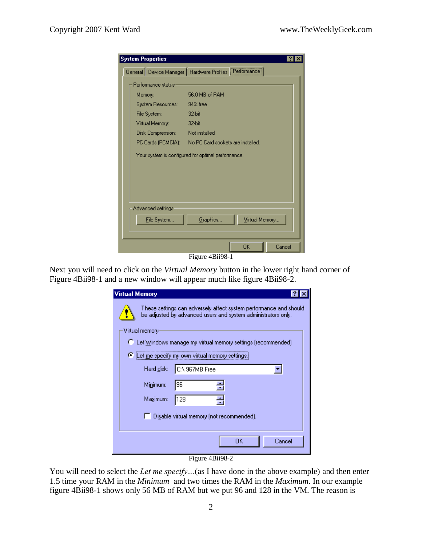|  |                                                      | <b>System Properties</b> |                                                          |    |        |  |  |  |  |
|--|------------------------------------------------------|--------------------------|----------------------------------------------------------|----|--------|--|--|--|--|
|  |                                                      |                          | General Device Manager   Hardware Profiles   Performance |    |        |  |  |  |  |
|  | Performance status-                                  |                          |                                                          |    |        |  |  |  |  |
|  | Memory:                                              |                          | 56.0 MB of RAM                                           |    |        |  |  |  |  |
|  | System Resources:                                    |                          | 94% free                                                 |    |        |  |  |  |  |
|  | File System:                                         |                          | 32-bit                                                   |    |        |  |  |  |  |
|  | Virtual Memory:                                      |                          | $32$ -bit                                                |    |        |  |  |  |  |
|  | Disk Compression: The                                |                          | Not installed                                            |    |        |  |  |  |  |
|  | PC Cards (PCMCIA): No PC Card sockets are installed. |                          |                                                          |    |        |  |  |  |  |
|  | Your system is configured for optimal performance.   |                          |                                                          |    |        |  |  |  |  |
|  |                                                      |                          |                                                          |    |        |  |  |  |  |
|  |                                                      |                          |                                                          |    |        |  |  |  |  |
|  |                                                      |                          |                                                          |    |        |  |  |  |  |
|  |                                                      |                          |                                                          |    |        |  |  |  |  |
|  |                                                      |                          |                                                          |    |        |  |  |  |  |
|  | Advanced settings:                                   |                          |                                                          |    |        |  |  |  |  |
|  | Graphics<br>Virtual Memory<br>File System            |                          |                                                          |    |        |  |  |  |  |
|  |                                                      |                          |                                                          |    |        |  |  |  |  |
|  |                                                      |                          |                                                          | OΚ | Cancel |  |  |  |  |
|  |                                                      |                          |                                                          |    |        |  |  |  |  |

Figure 4Bii98-1

Next you will need to click on the *Virtual Memory* button in the lower right hand corner of Figure 4Bii98-1 and a new window will appear much like figure 4Bii98-2.

| <b>Virtual Memory</b>                                         |                                                                                                                                     |  |  |  |  |  |  |
|---------------------------------------------------------------|-------------------------------------------------------------------------------------------------------------------------------------|--|--|--|--|--|--|
|                                                               | These settings can adversely affect system performance and should.<br>be adjusted by advanced users and system administrators only. |  |  |  |  |  |  |
| Virtual memory                                                |                                                                                                                                     |  |  |  |  |  |  |
| C Let Windows manage my virtual memory settings (recommended) |                                                                                                                                     |  |  |  |  |  |  |
| E Let me specify my own virtual memory settings.              |                                                                                                                                     |  |  |  |  |  |  |
| Hard disk:                                                    | C:\ 967MB Free                                                                                                                      |  |  |  |  |  |  |
| Minimum:                                                      | 96                                                                                                                                  |  |  |  |  |  |  |
| Maximum:                                                      | 128                                                                                                                                 |  |  |  |  |  |  |
|                                                               | Disable virtual memory (not recommended).                                                                                           |  |  |  |  |  |  |
|                                                               |                                                                                                                                     |  |  |  |  |  |  |
|                                                               | Cancel<br>OΚ                                                                                                                        |  |  |  |  |  |  |

Figure 4Bii98-2

You will need to select the *Let me specify*...(as I have done in the above example) and then enter 1.5 time your RAM in the *Minimum* and two times the RAM in the *Maximum*. In our example figure 4Bii98-1 shows only 56 MB of RAM but we put 96 and 128 in the VM. The reason is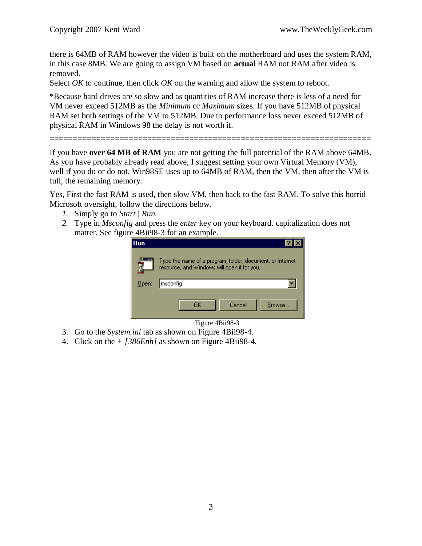there is 64MB of RAM however the video is built on the motherboard and uses the system RAM, in this case 8MB. We are going to assign VM based on **actual** RAM not RAM after video is removed.

Select *OK* to continue, then click *OK* on the warning and allow the system to reboot.

\*Because hard drives are so slow and as quantities of RAM increase there is less of a need for VM never exceed 512MB as the *Minimum* or *Maximum* sizes. If you have 512MB of physical RAM set both settings of the VM to 512MB. Due to performance loss never exceed 512MB of physical RAM in Windows 98 the delay is not worth it.

=====================================================================

If you have **over 64 MB of RAM** you are not getting the full potential of the RAM above 64MB. As you have probably already read above, I suggest setting your own Virtual Memory (VM), well if you do or do not, Win98SE uses up to 64MB of RAM, then the VM, then after the VM is full, the remaining memory.

Yes, First the fast RAM is used, then slow VM, then back to the fast RAM. To solve this horrid Microsoft oversight, follow the directions below.

- *1.* Simply go to *Start | Run.*
- *2.* Type in *Msconfig* and press the *enter* key on your keyboard. capitalization does not matter. See figure 4Bii98-3 for an example.



#### Figure 4Bii98-3

- 3. Go to the *System.ini* tab as shown on Figure 4Bii98-4.
- 4. Click on the *+ [386Enh]* as shown on Figure 4Bii98-4*.*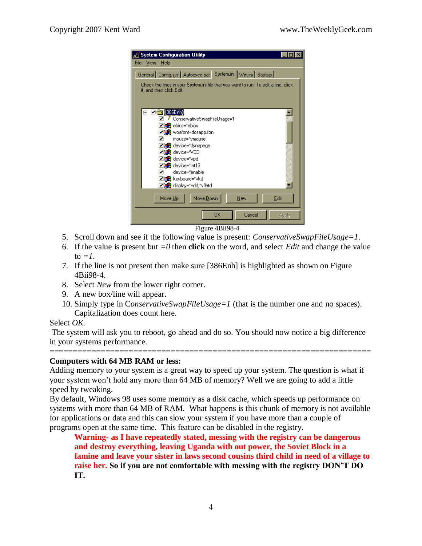

Figure 4Bii98-4

- 5. Scroll down and see if the following value is present: *ConservativeSwapFileUsage=1*.
- 6. If the value is present but  $=0$  then **click** on the word, and select *Edit* and change the value to  $=1$ .
- 7. If the line is not present then make sure [386Enh] is highlighted as shown on Figure 4Bii98-4.
- 8. Select *New* from the lower right corner.
- 9. A new box/line will appear.
- 10. Simply type in C*onservativeSwapFileUsage=1* (that is the number one and no spaces). Capitalization does count here.

#### Select *OK.*

The system will ask you to reboot, go ahead and do so. You should now notice a big difference in your systems performance.

=====================================================================

#### **Computers with 64 MB RAM or less:**

Adding memory to your system is a great way to speed up your system. The question is what if your system won't hold any more than 64 MB of memory? Well we are going to add a little speed by tweaking.

By default, Windows 98 uses some memory as a disk cache, which speeds up performance on systems with more than 64 MB of RAM. What happens is this chunk of memory is not available for applications or data and this can slow your system if you have more than a couple of programs open at the same time. This feature can be disabled in the registry.

**Warning- as I have repeatedly stated, messing with the registry can be dangerous and destroy everything, leaving Uganda with out power, the Soviet Block in a famine and leave your sister in laws second cousins third child in need of a village to raise her. So if you are not comfortable with messing with the registry DON'T DO IT.**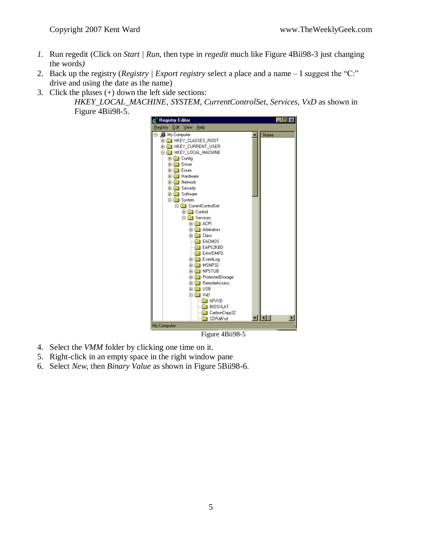- *1.* Run regedit (Click on *Start | Run,* then type in *regedit* much like Figure 4Bii98-3 just changing the words*)*
- 2. Back up the registry (*Registry | Export registry* select a place and a name I suggest the "C:" drive and using the date as the name)
- 3. Click the pluses  $(+)$  down the left side sections: *HKEY\_LOCAL\_MACHINE, SYSTEM, CurrentControlSet, Services, VxD* as shown in Figure 4Bii98-5.



Figure 4Bii98-5

- 4. Select the *VMM* folder by clicking one time on it.
- 5. Right-click in an empty space in the right window pane
- 6. Select *New,* then *Binary Value* as shown in Figure 5Bii98-6.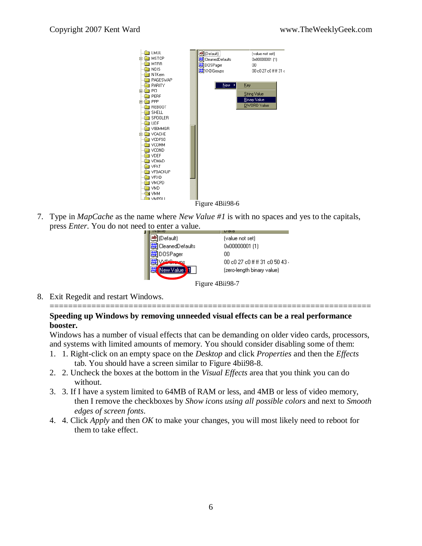

7. Type in *MapCache* as the name where *New Value #1* is with no spaces and yes to the capitals, press *Enter*. You do not need to enter a value.



8. Exit Regedit and restart Windows.

#### **Speeding up Windows by removing unneeded visual effects can be a real performance booster.**

Windows has a number of visual effects that can be demanding on older video cards, processors, and systems with limited amounts of memory. You should consider disabling some of them:

=====================================================================

- 1. 1. Right-click on an empty space on the *Desktop* and click *Properties* and then the *Effects* tab. You should have a screen similar to Figure 4bii98-8.
- 2. 2. Uncheck the boxes at the bottom in the *Visual Effects* area that you think you can do without.
- 3. 3. If I have a system limited to 64MB of RAM or less, and 4MB or less of video memory, then I remove the checkboxes by *Show icons using all possible colors* and next to *Smooth edges of screen fonts*.
- 4. 4. Click *Apply* and then *OK* to make your changes, you will most likely need to reboot for them to take effect.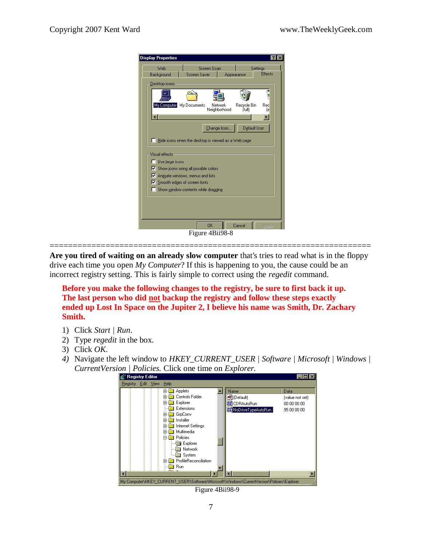| Web                    | Screen Scan                                                                               |                         |                       | Settings  |
|------------------------|-------------------------------------------------------------------------------------------|-------------------------|-----------------------|-----------|
| Background             | Screen Saver                                                                              |                         | Appearance            | Effects   |
| Desktop icons          |                                                                                           |                         |                       |           |
|                        |                                                                                           |                         |                       |           |
|                        |                                                                                           |                         |                       |           |
| My Computer            | My Documents                                                                              | Network<br>Neighborhood | Recycle Bin<br>(full) | Red<br>I٤ |
|                        |                                                                                           |                         |                       |           |
|                        |                                                                                           |                         |                       |           |
|                        |                                                                                           |                         |                       |           |
|                        |                                                                                           | Change Icon             | Default Icon          |           |
|                        | Hide icons when the desktop is viewed as a Web page                                       |                         |                       |           |
|                        |                                                                                           |                         |                       |           |
| $\Box$ Use large icons |                                                                                           |                         |                       |           |
|                        | $\triangleright$ Show icons using all possible colors<br>Animate windows, menus and lists |                         |                       |           |
|                        | $\nabla$ Smooth edges of screen fonts                                                     |                         |                       |           |
|                        | Show window contents while dragging                                                       |                         |                       |           |
|                        |                                                                                           |                         |                       |           |
| Visual effects-        |                                                                                           |                         |                       |           |
|                        |                                                                                           |                         |                       |           |

**Are you tired of waiting on an already slow computer** that's tries to read what is in the floppy drive each time you open *My Computer*? If this is happening to you, the cause could be an incorrect registry setting. This is fairly simple to correct using the *regedit* command.

=====================================================================

**Before you make the following changes to the registry, be sure to first back it up. The last person who did not backup the registry and follow these steps exactly ended up Lost In Space on the Jupiter 2, I believe his name was Smith, Dr. Zachary Smith.**

- 1) Click *Start | Run*.
- 2) Type *regedit* in the box.
- 3) Click *OK*.
- *4)* Navigate the left window to *HKEY\_CURRENT\_USER | Software | Microsoft | Windows | CurrentVersion | Policies.* Click one time on *Explorer.*



Figure 4Bii98-9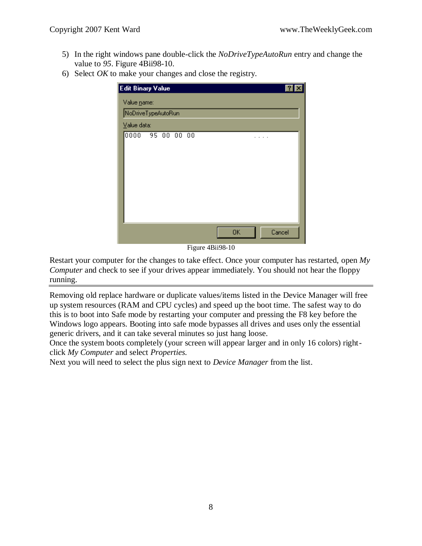- 5) In the right windows pane double-click the *NoDriveTypeAutoRun* entry and change the value to *95*. Figure 4Bii98-10.
- 6) Select *OK* to make your changes and close the registry.

| <b>Edit Binary Value</b>                                            | $\overline{\mathbf{r}}$ |
|---------------------------------------------------------------------|-------------------------|
| Value name:                                                         |                         |
| NoDriveTypeAutoRun                                                  |                         |
| Value data:                                                         |                         |
| 0000<br>95000<br>$\overline{00}$                                    |                         |
| <b>OK</b><br>Cancel<br>÷.<br>$\mathbf{m}$ $\mathbf{m}$ $\mathbf{a}$ |                         |

Figure 4Bii98-10

Restart your computer for the changes to take effect. Once your computer has restarted, open *My Computer* and check to see if your drives appear immediately. You should not hear the floppy running.

Removing old replace hardware or duplicate values/items listed in the Device Manager will free up system resources (RAM and CPU cycles) and speed up the boot time. The safest way to do this is to boot into Safe mode by restarting your computer and pressing the F8 key before the Windows logo appears. Booting into safe mode bypasses all drives and uses only the essential generic drivers, and it can take several minutes so just hang loose.

Once the system boots completely (your screen will appear larger and in only 16 colors) rightclick *My Computer* and select *Properties.*

Next you will need to select the plus sign next to *Device Manager* from the list.